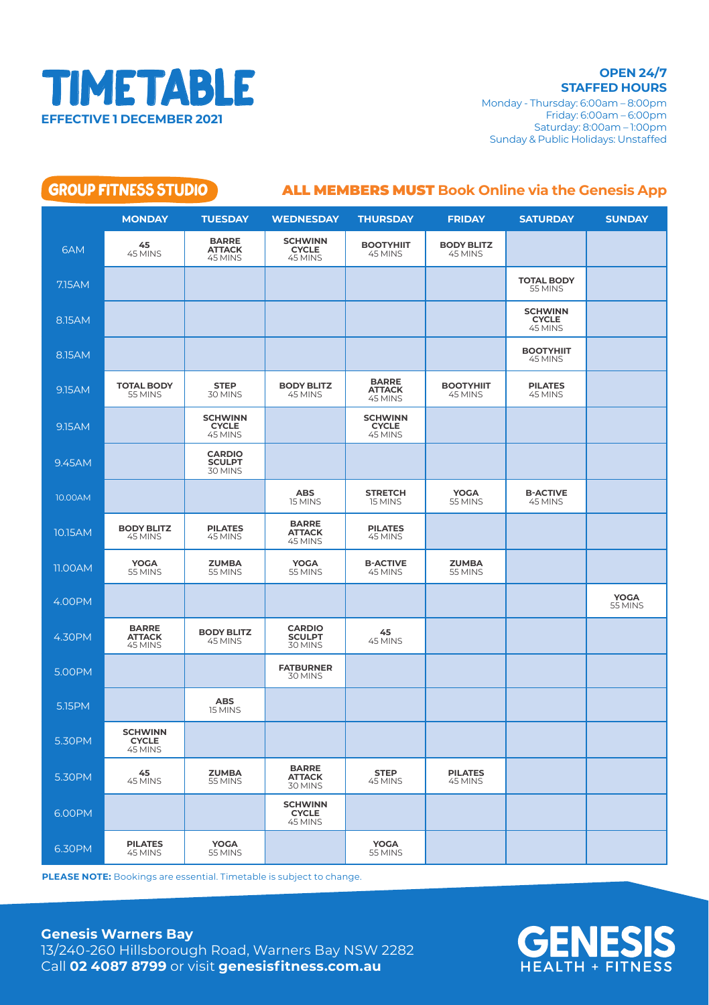

**STAFFED HOURS** Monday - Thursday: 6:00am – 8:00pm Friday: 6:00am – 6:00pm Saturday: 8:00am – 1:00pm Sunday & Public Holidays: Unstaffed

| <b>GROUP FITNESS STUDIO</b><br><b>ALL MEMBERS MUST Book Online via the Genesis App</b> |                                           |                                           |                                           |                                           |                              |                                           |                        |
|----------------------------------------------------------------------------------------|-------------------------------------------|-------------------------------------------|-------------------------------------------|-------------------------------------------|------------------------------|-------------------------------------------|------------------------|
|                                                                                        | <b>MONDAY</b>                             | <b>TUESDAY</b>                            | <b>WEDNESDAY</b>                          | <b>THURSDAY</b>                           | <b>FRIDAY</b>                | <b>SATURDAY</b>                           | <b>SUNDAY</b>          |
| 6AM                                                                                    | 45<br>45 MINS                             | <b>BARRE</b><br><b>ATTACK</b><br>45 MINS  | <b>SCHWINN</b><br><b>CYCLE</b><br>45 MINS | <b>BOOTYHIIT</b><br>45 MINS               | <b>BODY BLITZ</b><br>45 MINS |                                           |                        |
| 7.15AM                                                                                 |                                           |                                           |                                           |                                           |                              | <b>TOTAL BODY</b><br>55 MINS              |                        |
| 8.15AM                                                                                 |                                           |                                           |                                           |                                           |                              | <b>SCHWINN</b><br><b>CYCLE</b><br>45 MINS |                        |
| 8.15AM                                                                                 |                                           |                                           |                                           |                                           |                              | <b>BOOTYHIIT</b><br>45 MINS               |                        |
| 9.15AM                                                                                 | <b>TOTAL BODY</b><br>55 MINS              | <b>STEP</b><br>30 MINS                    | <b>BODY BLITZ</b><br>45 MINS              | <b>BARRE</b><br><b>ATTACK</b><br>45 MINS  | <b>BOOTYHIIT</b><br>45 MINS  | <b>PILATES</b><br>45 MINS                 |                        |
| 9.15AM                                                                                 |                                           | <b>SCHWINN</b><br><b>CYCLE</b><br>45 MINS |                                           | <b>SCHWINN</b><br><b>CYCLE</b><br>45 MINS |                              |                                           |                        |
| 9.45AM                                                                                 |                                           | <b>CARDIO</b><br><b>SCULPT</b><br>30 MINS |                                           |                                           |                              |                                           |                        |
| 10.00AM                                                                                |                                           |                                           | <b>ABS</b><br>15 MINS                     | <b>STRETCH</b><br>15 MINS                 | <b>YOGA</b><br>55 MINS       | <b>B-ACTIVE</b><br>45 MINS                |                        |
| 10.15AM                                                                                | <b>BODY BLITZ</b><br>45 MINS              | <b>PILATES</b><br>45 MINS                 | <b>BARRE</b><br><b>ATTACK</b><br>45 MINS  | <b>PILATES</b><br>45 MINS                 |                              |                                           |                        |
| 11.00AM                                                                                | <b>YOGA</b><br>55 MINS                    | <b>ZUMBA</b><br>55 MINS                   | <b>YOGA</b><br>55 MINS                    | <b>B-ACTIVE</b><br>45 MINS                | <b>ZUMBA</b><br>55 MINS      |                                           |                        |
| 4.00PM                                                                                 |                                           |                                           |                                           |                                           |                              |                                           | <b>YOGA</b><br>55 MINS |
| 4.30PM                                                                                 | <b>BARRE</b><br><b>ATTACK</b><br>45 MINS  | <b>BODY BLITZ</b><br>45 MINS              | <b>CARDIO</b><br><b>SCULPT</b><br>30 MINS | 45<br>45 MINS                             |                              |                                           |                        |
| 5.00PM                                                                                 |                                           |                                           | <b>FATBURNER</b><br>30 MINS               |                                           |                              |                                           |                        |
| 5.15PM                                                                                 |                                           | <b>ABS</b><br>15 MINS                     |                                           |                                           |                              |                                           |                        |
| 5.30PM                                                                                 | <b>SCHWINN</b><br><b>CYCLE</b><br>45 MINS |                                           |                                           |                                           |                              |                                           |                        |
| 5.30PM                                                                                 | 45<br>45 MINS                             | <b>ZUMBA</b><br>55 MINS                   | <b>BARRE</b><br><b>ATTACK</b><br>30 MINS  | <b>STEP</b><br>45 MINS                    | <b>PILATES</b><br>45 MINS    |                                           |                        |
| 6.00PM                                                                                 |                                           |                                           | <b>SCHWINN</b><br><b>CYCLE</b><br>45 MINS |                                           |                              |                                           |                        |
| 6.30PM                                                                                 | <b>PILATES</b><br>45 MINS                 | YOGA<br>55 MINS                           |                                           | YOGA<br>55 MINS                           |                              |                                           |                        |

**PLEASE NOTE:** Bookings are essential. Timetable is subject to change.

## **Genesis Warners Bay**